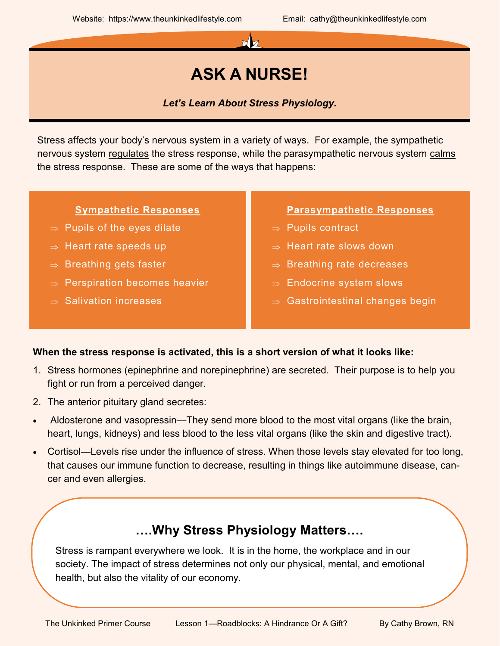

# **ASK A NURSE!**

*Let's Learn About Stress Physiology.*

Stress affects your body's nervous system in a variety of ways. For example, the sympathetic nervous system regulates the stress response, while the parasympathetic nervous system calms the stress response. These are some of the ways that happens:

### **Sympathetic Responses**

- $\Rightarrow$  Pupils of the eyes dilate
- $\Rightarrow$  Heart rate speeds up
- $\Rightarrow$  Breathing gets faster
- $\Rightarrow$  Perspiration becomes heavier
- $\Rightarrow$  Salivation increases

### **Parasympathetic Responses**

- $\Rightarrow$  Pupils contract
- $\Rightarrow$  Heart rate slows down
- $\Rightarrow$  Breathing rate decreases
- $\Rightarrow$  Endocrine system slows
- $\Rightarrow$  Gastrointestinal changes begin

## **When the stress response is activated, this is a short version of what it looks like:**

- 1. Stress hormones (epinephrine and norepinephrine) are secreted. Their purpose is to help you fight or run from a perceived danger.
- 2. The anterior pituitary gland secretes:
- Aldosterone and vasopressin—They send more blood to the most vital organs (like the brain, heart, lungs, kidneys) and less blood to the less vital organs (like the skin and digestive tract).
- Cortisol—Levels rise under the influence of stress. When those levels stay elevated for too long, that causes our immune function to decrease, resulting in things like autoimmune disease, cancer and even allergies.

## **….Why Stress Physiology Matters….**

Stress is rampant everywhere we look. It is in the home, the workplace and in our society. The impact of stress determines not only our physical, mental, and emotional health, but also the vitality of our economy.